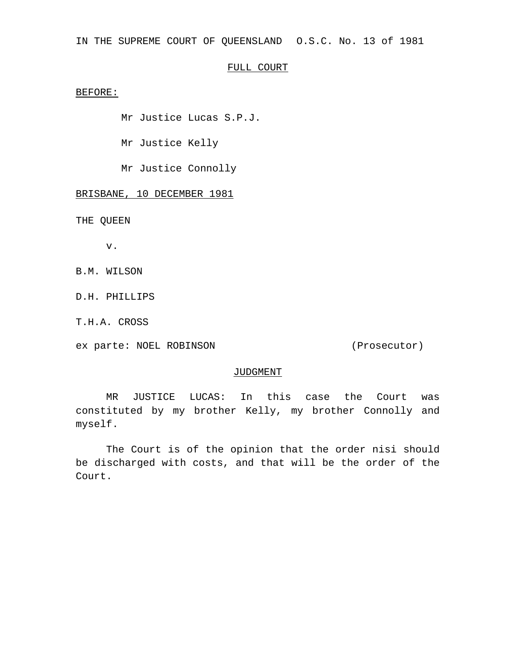IN THE SUPREME COURT OF QUEENSLAND O.S.C. No. 13 of 1981

# FULL COURT

BEFORE:

Mr Justice Lucas S.P.J.

Mr Justice Kelly

Mr Justice Connolly

BRISBANE, 10 DECEMBER 1981

THE QUEEN

v.

B.M. WILSON

D.H. PHILLIPS

T.H.A. CROSS

ex parte: NOEL ROBINSON (Prosecutor)

#### JUDGMENT

MR JUSTICE LUCAS: In this case the Court was constituted by my brother Kelly, my brother Connolly and myself.

The Court is of the opinion that the order nisi should be discharged with costs, and that will be the order of the Court.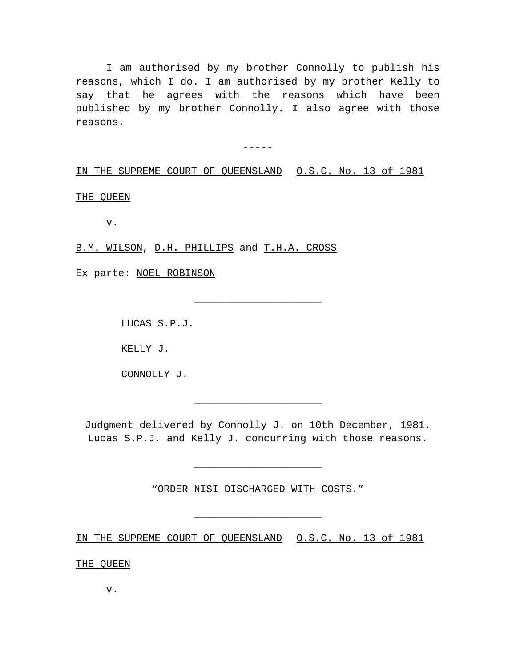I am authorised by my brother Connolly to publish his reasons, which I do. I am authorised by my brother Kelly to say that he agrees with the reasons which have been published by my brother Connolly. I also agree with those reasons.

 $-----$ 

IN THE SUPREME COURT OF QUEENSLAND O.S.C. No. 13 of 1981

THE QUEEN

v.

B.M. WILSON, D.H. PHILLIPS and T.H.A. CROSS

Ex parte: NOEL ROBINSON

LUCAS S.P.J.

KELLY J.

CONNOLLY J.

Judgment delivered by Connolly J. on 10th December, 1981. Lucas S.P.J. and Kelly J. concurring with those reasons.

\_\_\_\_\_\_\_\_\_\_\_\_\_\_\_\_\_\_\_\_\_

\_\_\_\_\_\_\_\_\_\_\_\_\_\_\_\_\_\_\_\_\_

"ORDER NISI DISCHARGED WITH COSTS."

\_\_\_\_\_\_\_\_\_\_\_\_\_\_\_\_\_\_\_\_\_

\_\_\_\_\_\_\_\_\_\_\_\_\_\_\_\_\_\_\_\_\_

IN THE SUPREME COURT OF QUEENSLAND O.S.C. No. 13 of 1981

THE QUEEN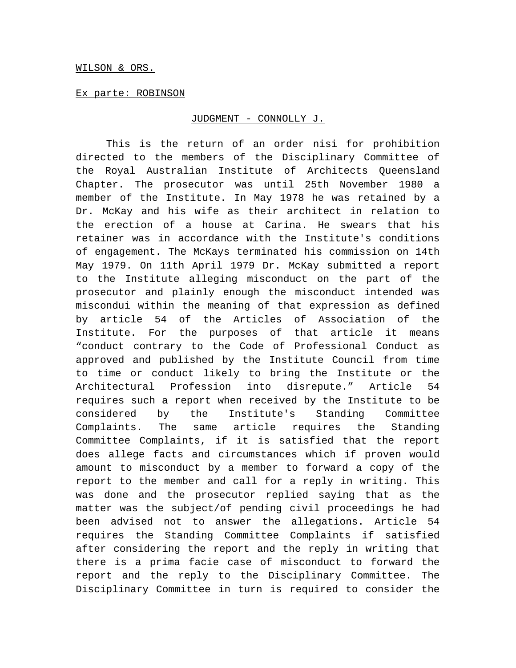### WILSON & ORS.

## Ex parte: ROBINSON

### JUDGMENT - CONNOLLY J.

This is the return of an order nisi for prohibition directed to the members of the Disciplinary Committee of the Royal Australian Institute of Architects Queensland Chapter. The prosecutor was until 25th November 1980 a member of the Institute. In May 1978 he was retained by a Dr. McKay and his wife as their architect in relation to the erection of a house at Carina. He swears that his retainer was in accordance with the Institute's conditions of engagement. The McKays terminated his commission on 14th May 1979. On 11th April 1979 Dr. McKay submitted a report to the Institute alleging misconduct on the part of the prosecutor and plainly enough the misconduct intended was miscondui within the meaning of that expression as defined by article 54 of the Articles of Association of the Institute. For the purposes of that article it means "conduct contrary to the Code of Professional Conduct as approved and published by the Institute Council from time to time or conduct likely to bring the Institute or the Architectural Profession into disrepute." Article 54 requires such a report when received by the Institute to be considered by the Institute's Standing Committee Complaints. The same article requires the Standing Committee Complaints, if it is satisfied that the report does allege facts and circumstances which if proven would amount to misconduct by a member to forward a copy of the report to the member and call for a reply in writing. This was done and the prosecutor replied saying that as the matter was the subject/of pending civil proceedings he had been advised not to answer the allegations. Article 54 requires the Standing Committee Complaints if satisfied after considering the report and the reply in writing that there is a prima facie case of misconduct to forward the report and the reply to the Disciplinary Committee. The Disciplinary Committee in turn is required to consider the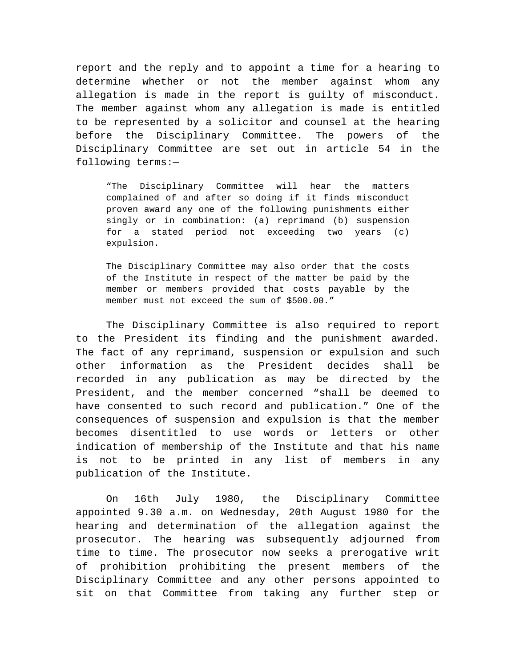report and the reply and to appoint a time for a hearing to determine whether or not the member against whom any allegation is made in the report is guilty of misconduct. The member against whom any allegation is made is entitled to be represented by a solicitor and counsel at the hearing before the Disciplinary Committee. The powers of the Disciplinary Committee are set out in article 54 in the following terms:—

"The Disciplinary Committee will hear the matters complained of and after so doing if it finds misconduct proven award any one of the following punishments either singly or in combination: (a) reprimand (b) suspension for a stated period not exceeding two years (c) expulsion.

The Disciplinary Committee may also order that the costs of the Institute in respect of the matter be paid by the member or members provided that costs payable by the member must not exceed the sum of \$500.00."

The Disciplinary Committee is also required to report to the President its finding and the punishment awarded. The fact of any reprimand, suspension or expulsion and such other information as the President decides shall be recorded in any publication as may be directed by the President, and the member concerned "shall be deemed to have consented to such record and publication." One of the consequences of suspension and expulsion is that the member becomes disentitled to use words or letters or other indication of membership of the Institute and that his name is not to be printed in any list of members in any publication of the Institute.

On 16th July 1980, the Disciplinary Committee appointed 9.30 a.m. on Wednesday, 20th August 1980 for the hearing and determination of the allegation against the prosecutor. The hearing was subsequently adjourned from time to time. The prosecutor now seeks a prerogative writ of prohibition prohibiting the present members of the Disciplinary Committee and any other persons appointed to sit on that Committee from taking any further step or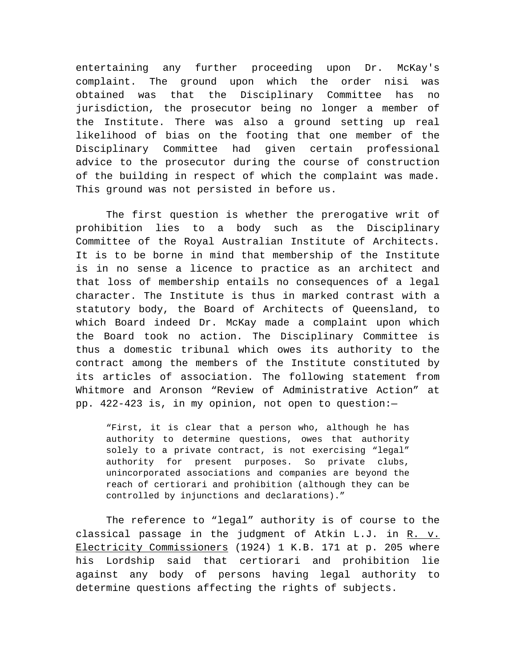entertaining any further proceeding upon Dr. McKay's complaint. The ground upon which the order nisi was obtained was that the Disciplinary Committee has no jurisdiction, the prosecutor being no longer a member of the Institute. There was also a ground setting up real likelihood of bias on the footing that one member of the Disciplinary Committee had given certain professional advice to the prosecutor during the course of construction of the building in respect of which the complaint was made. This ground was not persisted in before us.

The first question is whether the prerogative writ of prohibition lies to a body such as the Disciplinary Committee of the Royal Australian Institute of Architects. It is to be borne in mind that membership of the Institute is in no sense a licence to practice as an architect and that loss of membership entails no consequences of a legal character. The Institute is thus in marked contrast with a statutory body, the Board of Architects of Queensland, to which Board indeed Dr. McKay made a complaint upon which the Board took no action. The Disciplinary Committee is thus a domestic tribunal which owes its authority to the contract among the members of the Institute constituted by its articles of association. The following statement from Whitmore and Aronson "Review of Administrative Action" at pp. 422-423 is, in my opinion, not open to question:—

"First, it is clear that a person who, although he has authority to determine questions, owes that authority solely to a private contract, is not exercising "legal" authority for present purposes. So private clubs, unincorporated associations and companies are beyond the reach of certiorari and prohibition (although they can be controlled by injunctions and declarations)."

The reference to "legal" authority is of course to the classical passage in the judgment of Atkin L.J. in R. v. Electricity Commissioners (1924) 1 K.B. 171 at p. 205 where his Lordship said that certiorari and prohibition lie against any body of persons having legal authority to determine questions affecting the rights of subjects.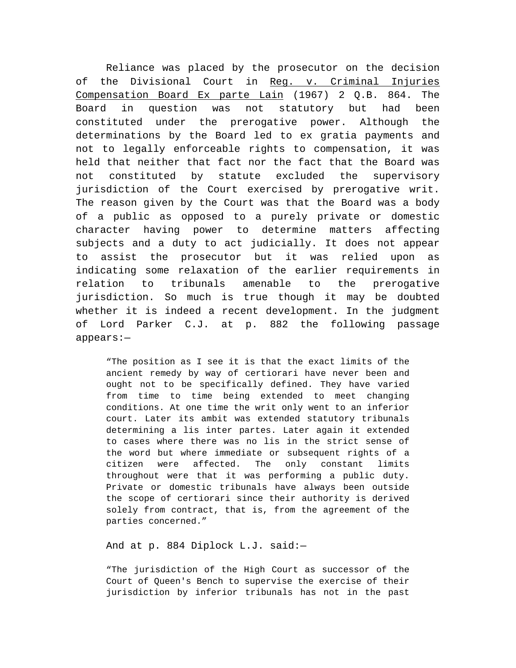Reliance was placed by the prosecutor on the decision of the Divisional Court in Reg. v. Criminal Injuries Compensation Board Ex parte Lain (1967) 2 Q.B. 864. The Board in question was not statutory but had been constituted under the prerogative power. Although the determinations by the Board led to ex gratia payments and not to legally enforceable rights to compensation, it was held that neither that fact nor the fact that the Board was not constituted by statute excluded the supervisory jurisdiction of the Court exercised by prerogative writ. The reason given by the Court was that the Board was a body of a public as opposed to a purely private or domestic character having power to determine matters affecting subjects and a duty to act judicially. It does not appear to assist the prosecutor but it was relied upon as indicating some relaxation of the earlier requirements in relation to tribunals amenable to the prerogative jurisdiction. So much is true though it may be doubted whether it is indeed a recent development. In the judgment of Lord Parker C.J. at p. 882 the following passage appears:—

"The position as I see it is that the exact limits of the ancient remedy by way of certiorari have never been and ought not to be specifically defined. They have varied from time to time being extended to meet changing conditions. At one time the writ only went to an inferior court. Later its ambit was extended statutory tribunals determining a lis inter partes. Later again it extended to cases where there was no lis in the strict sense of the word but where immediate or subsequent rights of a citizen were affected. The only constant limits throughout were that it was performing a public duty. Private or domestic tribunals have always been outside the scope of certiorari since their authority is derived solely from contract, that is, from the agreement of the parties concerned."

And at p. 884 Diplock L.J. said:—

"The jurisdiction of the High Court as successor of the Court of Queen's Bench to supervise the exercise of their jurisdiction by inferior tribunals has not in the past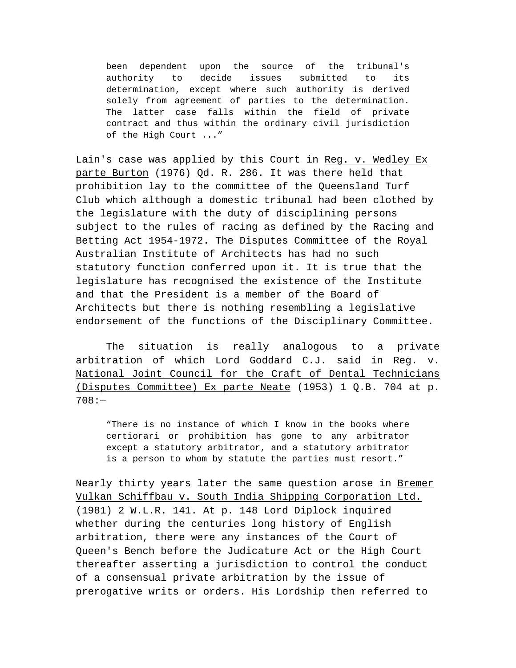been dependent upon the source of the tribunal's authority to decide issues submitted to its determination, except where such authority is derived solely from agreement of parties to the determination. The latter case falls within the field of private contract and thus within the ordinary civil jurisdiction of the High Court ..."

Lain's case was applied by this Court in Reg. v. Wedley Ex parte Burton (1976) Qd. R. 286. It was there held that prohibition lay to the committee of the Queensland Turf Club which although a domestic tribunal had been clothed by the legislature with the duty of disciplining persons subject to the rules of racing as defined by the Racing and Betting Act 1954-1972. The Disputes Committee of the Royal Australian Institute of Architects has had no such statutory function conferred upon it. It is true that the legislature has recognised the existence of the Institute and that the President is a member of the Board of Architects but there is nothing resembling a legislative endorsement of the functions of the Disciplinary Committee.

The situation is really analogous to a private arbitration of which Lord Goddard C.J. said in Reg. v. National Joint Council for the Craft of Dental Technicians (Disputes Committee) Ex parte Neate (1953) 1 Q.B. 704 at p. 708:—

"There is no instance of which I know in the books where certiorari or prohibition has gone to any arbitrator except a statutory arbitrator, and a statutory arbitrator is a person to whom by statute the parties must resort."

Nearly thirty years later the same question arose in Bremer Vulkan Schiffbau v. South India Shipping Corporation Ltd. (1981) 2 W.L.R. 141. At p. 148 Lord Diplock inquired whether during the centuries long history of English arbitration, there were any instances of the Court of Queen's Bench before the Judicature Act or the High Court thereafter asserting a jurisdiction to control the conduct of a consensual private arbitration by the issue of prerogative writs or orders. His Lordship then referred to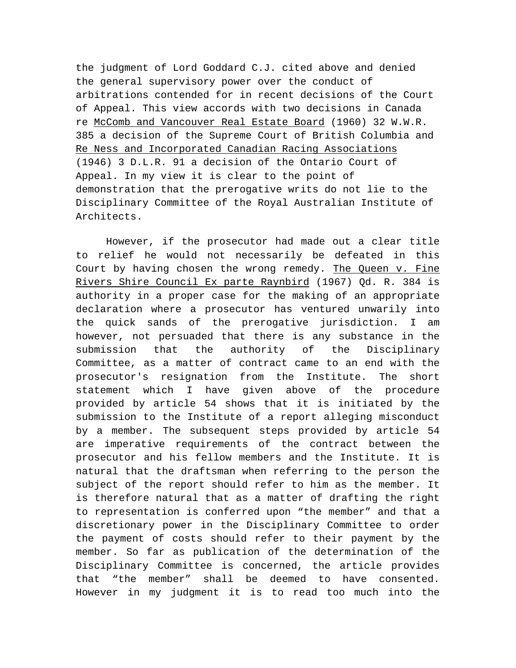the judgment of Lord Goddard C.J. cited above and denied the general supervisory power over the conduct of arbitrations contended for in recent decisions of the Court of Appeal. This view accords with two decisions in Canada re McComb and Vancouver Real Estate Board (1960) 32 W.W.R. 385 a decision of the Supreme Court of British Columbia and Re Ness and Incorporated Canadian Racing Associations (1946) 3 D.L.R. 91 a decision of the Ontario Court of Appeal. In my view it is clear to the point of demonstration that the prerogative writs do not lie to the Disciplinary Committee of the Royal Australian Institute of Architects.

However, if the prosecutor had made out a clear title to relief he would not necessarily be defeated in this Court by having chosen the wrong remedy. The Queen v. Fine Rivers Shire Council Ex parte Raynbird (1967) Qd. R. 384 is authority in a proper case for the making of an appropriate declaration where a prosecutor has ventured unwarily into the quick sands of the prerogative jurisdiction. I am however, not persuaded that there is any substance in the submission that the authority of the Disciplinary Committee, as a matter of contract came to an end with the prosecutor's resignation from the Institute. The short statement which I have given above of the procedure provided by article 54 shows that it is initiated by the submission to the Institute of a report alleging misconduct by a member. The subsequent steps provided by article 54 are imperative requirements of the contract between the prosecutor and his fellow members and the Institute. It is natural that the draftsman when referring to the person the subject of the report should refer to him as the member. It is therefore natural that as a matter of drafting the right to representation is conferred upon "the member" and that a discretionary power in the Disciplinary Committee to order the payment of costs should refer to their payment by the member. So far as publication of the determination of the Disciplinary Committee is concerned, the article provides that "the member" shall be deemed to have consented. However in my judgment it is to read too much into the